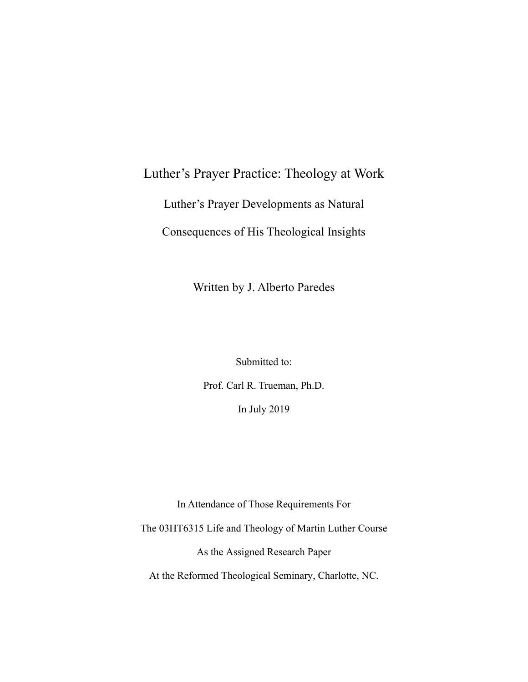# Luther's Prayer Practice: Theology at Work

Luther's Prayer Developments as Natural

Consequences of His Theological Insights

Written by J. Alberto Paredes

Submitted to:

Prof. Carl R. Trueman, Ph.D. In July 2019

In Attendance of Those Requirements For The 03HT6315 Life and Theology of Martin Luther Course As the Assigned Research Paper At the Reformed Theological Seminary, Charlotte, NC.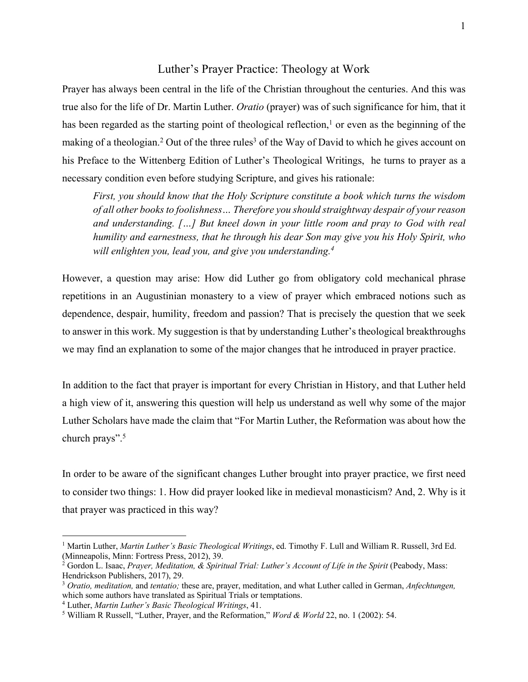### Luther's Prayer Practice: Theology at Work

Prayer has always been central in the life of the Christian throughout the centuries. And this was true also for the life of Dr. Martin Luther. *Oratio* (prayer) was of such significance for him, that it has been regarded as the starting point of theological reflection, $\frac{1}{1}$  or even as the beginning of the making of a theologian.<sup>2</sup> Out of the three rules<sup>3</sup> of the Way of David to which he gives account on his Preface to the Wittenberg Edition of Luther's Theological Writings, he turns to prayer as a necessary condition even before studying Scripture, and gives his rationale:

*First, you should know that the Holy Scripture constitute a book which turns the wisdom of all other books to foolishness… Therefore you should straightway despair of your reason and understanding. […] But kneel down in your little room and pray to God with real humility and earnestness, that he through his dear Son may give you his Holy Spirit, who will enlighten you, lead you, and give you understanding.4*

However, a question may arise: How did Luther go from obligatory cold mechanical phrase repetitions in an Augustinian monastery to a view of prayer which embraced notions such as dependence, despair, humility, freedom and passion? That is precisely the question that we seek to answer in this work. My suggestion is that by understanding Luther's theological breakthroughs we may find an explanation to some of the major changes that he introduced in prayer practice.

In addition to the fact that prayer is important for every Christian in History, and that Luther held a high view of it, answering this question will help us understand as well why some of the major Luther Scholars have made the claim that "For Martin Luther, the Reformation was about how the church prays". 5

In order to be aware of the significant changes Luther brought into prayer practice, we first need to consider two things: 1. How did prayer looked like in medieval monasticism? And, 2. Why is it that prayer was practiced in this way?

<sup>&</sup>lt;sup>1</sup> Martin Luther, *Martin Luther's Basic Theological Writings*, ed. Timothy F. Lull and William R. Russell, 3rd Ed. (Minneapolis, Minn: Fortress Press, 2012), 39.

<sup>&</sup>lt;sup>2</sup> Gordon L. Isaac, *Prayer, Meditation, & Spiritual Trial: Luther's Account of Life in the Spirit* (Peabody, Mass: Hendrickson Publishers, 2017), 29.

<sup>3</sup> *Oratio, meditation,* and *tentatio;* these are, prayer, meditation, and what Luther called in German, *Anfechtungen,* which some authors have translated as Spiritual Trials or temptations.

<sup>4</sup> Luther, *Martin Luther's Basic Theological Writings*, 41.

<sup>5</sup> William R Russell, "Luther, Prayer, and the Reformation," *Word & World* 22, no. 1 (2002): 54.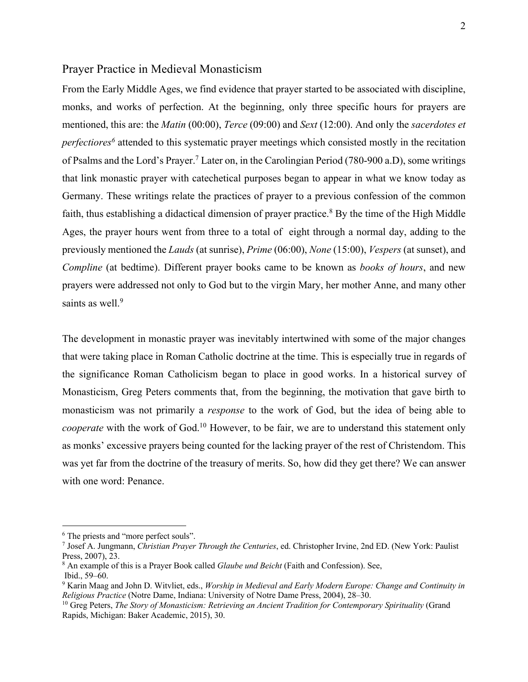### Prayer Practice in Medieval Monasticism

From the Early Middle Ages, we find evidence that prayer started to be associated with discipline, monks, and works of perfection. At the beginning, only three specific hours for prayers are mentioned, this are: the *Matin* (00:00), *Terce* (09:00) and *Sext* (12:00). And only the *sacerdotes et perfectiores6* attended to this systematic prayer meetings which consisted mostly in the recitation of Psalms and the Lord's Prayer. <sup>7</sup> Later on, in the Carolingian Period (780-900 a.D), some writings that link monastic prayer with catechetical purposes began to appear in what we know today as Germany. These writings relate the practices of prayer to a previous confession of the common faith, thus establishing a didactical dimension of prayer practice.<sup>8</sup> By the time of the High Middle Ages, the prayer hours went from three to a total of eight through a normal day, adding to the previously mentioned the *Lauds* (at sunrise), *Prime* (06:00), *None* (15:00), *Vespers* (at sunset), and *Compline* (at bedtime). Different prayer books came to be known as *books of hours*, and new prayers were addressed not only to God but to the virgin Mary, her mother Anne, and many other saints as well.<sup>9</sup>

The development in monastic prayer was inevitably intertwined with some of the major changes that were taking place in Roman Catholic doctrine at the time. This is especially true in regards of the significance Roman Catholicism began to place in good works. In a historical survey of Monasticism, Greg Peters comments that, from the beginning, the motivation that gave birth to monasticism was not primarily a *response* to the work of God, but the idea of being able to *cooperate* with the work of God.<sup>10</sup> However, to be fair, we are to understand this statement only as monks' excessive prayers being counted for the lacking prayer of the rest of Christendom. This was yet far from the doctrine of the treasury of merits. So, how did they get there? We can answer with one word: Penance.

<sup>&</sup>lt;sup>6</sup> The priests and "more perfect souls".

<sup>7</sup> Josef A. Jungmann, *Christian Prayer Through the Centuries*, ed. Christopher Irvine, 2nd ED. (New York: Paulist Press, 2007), 23.

<sup>8</sup> An example of this is a Prayer Book called *Glaube und Beicht* (Faith and Confession). See, Ibid., 59–60.

<sup>9</sup> Karin Maag and John D. Witvliet, eds., *Worship in Medieval and Early Modern Europe: Change and Continuity in Religious Practice* (Notre Dame, Indiana: University of Notre Dame Press, 2004), 28–30.

<sup>10</sup> Greg Peters, *The Story of Monasticism: Retrieving an Ancient Tradition for Contemporary Spirituality* (Grand Rapids, Michigan: Baker Academic, 2015), 30.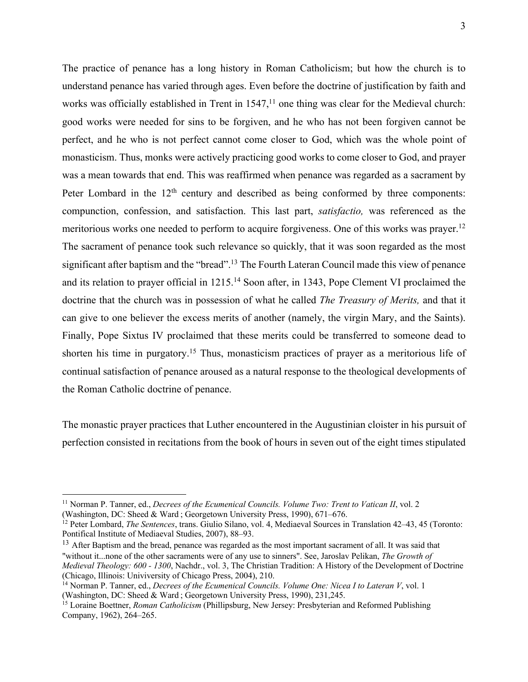The practice of penance has a long history in Roman Catholicism; but how the church is to understand penance has varied through ages. Even before the doctrine of justification by faith and works was officially established in Trent in  $1547<sup>11</sup>$  one thing was clear for the Medieval church: good works were needed for sins to be forgiven, and he who has not been forgiven cannot be perfect, and he who is not perfect cannot come closer to God, which was the whole point of monasticism. Thus, monks were actively practicing good works to come closer to God, and prayer was a mean towards that end. This was reaffirmed when penance was regarded as a sacrament by Peter Lombard in the  $12<sup>th</sup>$  century and described as being conformed by three components: compunction, confession, and satisfaction. This last part, *satisfactio,* was referenced as the meritorious works one needed to perform to acquire forgiveness. One of this works was prayer.<sup>12</sup> The sacrament of penance took such relevance so quickly, that it was soon regarded as the most significant after baptism and the "bread".<sup>13</sup> The Fourth Lateran Council made this view of penance and its relation to prayer official in 1215. <sup>14</sup> Soon after, in 1343, Pope Clement VI proclaimed the doctrine that the church was in possession of what he called *The Treasury of Merits,* and that it can give to one believer the excess merits of another (namely, the virgin Mary, and the Saints). Finally, Pope Sixtus IV proclaimed that these merits could be transferred to someone dead to shorten his time in purgatory. <sup>15</sup> Thus, monasticism practices of prayer as a meritorious life of continual satisfaction of penance aroused as a natural response to the theological developments of the Roman Catholic doctrine of penance.

The monastic prayer practices that Luther encountered in the Augustinian cloister in his pursuit of perfection consisted in recitations from the book of hours in seven out of the eight times stipulated

<sup>13</sup> After Baptism and the bread, penance was regarded as the most important sacrament of all. It was said that "without it...none of the other sacraments were of any use to sinners". See, Jaroslav Pelikan, *The Growth of Medieval Theology: 600 - 1300*, Nachdr., vol. 3, The Christian Tradition: A History of the Development of Doctrine (Chicago, Illinois: Univiversity of Chicago Press, 2004), 210.

<sup>11</sup> Norman P. Tanner, ed., *Decrees of the Ecumenical Councils. Volume Two: Trent to Vatican II*, vol. 2 (Washington, DC: Sheed & Ward ; Georgetown University Press, 1990), 671–676.

<sup>12</sup> Peter Lombard, *The Sentences*, trans. Giulio Silano, vol. 4, Mediaeval Sources in Translation 42–43, 45 (Toronto: Pontifical Institute of Mediaeval Studies, 2007), 88–93.

<sup>14</sup> Norman P. Tanner, ed., *Decrees of the Ecumenical Councils. Volume One: Nicea I to Lateran V*, vol. 1 (Washington, DC: Sheed & Ward ; Georgetown University Press, 1990), 231,245.

<sup>15</sup> Loraine Boettner, *Roman Catholicism* (Phillipsburg, New Jersey: Presbyterian and Reformed Publishing Company, 1962), 264–265.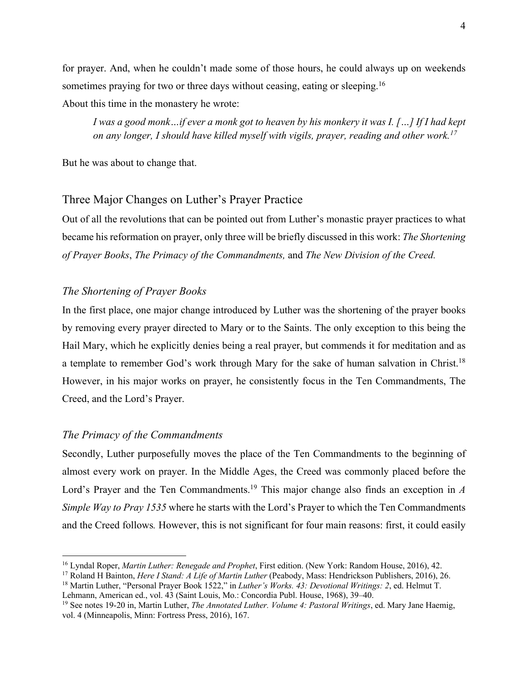for prayer. And, when he couldn't made some of those hours, he could always up on weekends sometimes praying for two or three days without ceasing, eating or sleeping.<sup>16</sup>

About this time in the monastery he wrote:

*I was a good monk…if ever a monk got to heaven by his monkery it was I. […] If I had kept on any longer, I should have killed myself with vigils, prayer, reading and other work.17*

But he was about to change that.

# Three Major Changes on Luther's Prayer Practice

Out of all the revolutions that can be pointed out from Luther's monastic prayer practices to what became his reformation on prayer, only three will be briefly discussed in this work: *The Shortening of Prayer Books*, *The Primacy of the Commandments,* and *The New Division of the Creed.* 

# *The Shortening of Prayer Books*

In the first place, one major change introduced by Luther was the shortening of the prayer books by removing every prayer directed to Mary or to the Saints. The only exception to this being the Hail Mary, which he explicitly denies being a real prayer, but commends it for meditation and as a template to remember God's work through Mary for the sake of human salvation in Christ.18 However, in his major works on prayer, he consistently focus in the Ten Commandments, The Creed, and the Lord's Prayer.

#### *The Primacy of the Commandments*

Secondly, Luther purposefully moves the place of the Ten Commandments to the beginning of almost every work on prayer. In the Middle Ages, the Creed was commonly placed before the Lord's Prayer and the Ten Commandments. <sup>19</sup> This major change also finds an exception in *A Simple Way to Pray 1535* where he starts with the Lord's Prayer to which the Ten Commandments and the Creed follows*.* However, this is not significant for four main reasons: first, it could easily

<sup>16</sup> Lyndal Roper, *Martin Luther: Renegade and Prophet*, First edition. (New York: Random House, 2016), 42.

<sup>17</sup> Roland H Bainton, *Here I Stand: A Life of Martin Luther* (Peabody, Mass: Hendrickson Publishers, 2016), 26.

<sup>18</sup> Martin Luther, "Personal Prayer Book 1522," in *Luther's Works. 43: Devotional Writings: 2*, ed. Helmut T. Lehmann, American ed., vol. 43 (Saint Louis, Mo.: Concordia Publ. House, 1968), 39–40.

<sup>19</sup> See notes 19-20 in, Martin Luther, *The Annotated Luther. Volume 4: Pastoral Writings*, ed. Mary Jane Haemig, vol. 4 (Minneapolis, Minn: Fortress Press, 2016), 167.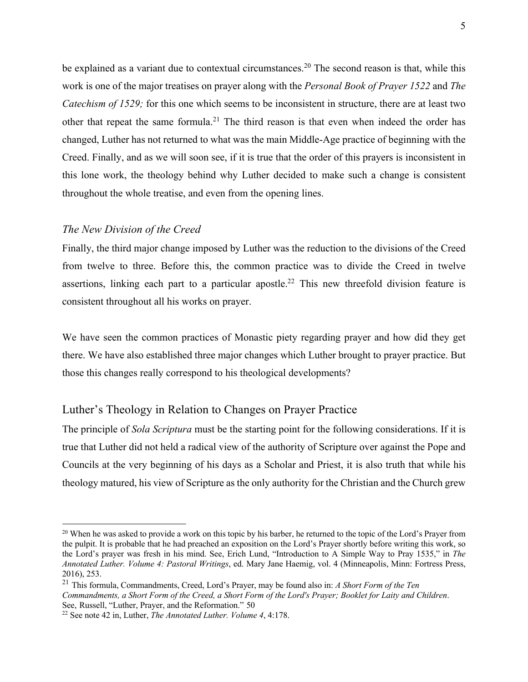be explained as a variant due to contextual circumstances.<sup>20</sup> The second reason is that, while this work is one of the major treatises on prayer along with the *Personal Book of Prayer 1522* and *The Catechism of 1529;* for this one which seems to be inconsistent in structure, there are at least two other that repeat the same formula.<sup>21</sup> The third reason is that even when indeed the order has changed, Luther has not returned to what was the main Middle-Age practice of beginning with the Creed. Finally, and as we will soon see, if it is true that the order of this prayers is inconsistent in this lone work, the theology behind why Luther decided to make such a change is consistent throughout the whole treatise, and even from the opening lines.

### *The New Division of the Creed*

Finally, the third major change imposed by Luther was the reduction to the divisions of the Creed from twelve to three. Before this, the common practice was to divide the Creed in twelve assertions, linking each part to a particular apostle.<sup>22</sup> This new threefold division feature is consistent throughout all his works on prayer.

We have seen the common practices of Monastic piety regarding prayer and how did they get there. We have also established three major changes which Luther brought to prayer practice. But those this changes really correspond to his theological developments?

# Luther's Theology in Relation to Changes on Prayer Practice

The principle of *Sola Scriptura* must be the starting point for the following considerations. If it is true that Luther did not held a radical view of the authority of Scripture over against the Pope and Councils at the very beginning of his days as a Scholar and Priest, it is also truth that while his theology matured, his view of Scripture as the only authority for the Christian and the Church grew

 $20$  When he was asked to provide a work on this topic by his barber, he returned to the topic of the Lord's Prayer from the pulpit. It is probable that he had preached an exposition on the Lord's Prayer shortly before writing this work, so the Lord's prayer was fresh in his mind. See, Erich Lund, "Introduction to A Simple Way to Pray 1535," in *The Annotated Luther. Volume 4: Pastoral Writings*, ed. Mary Jane Haemig, vol. 4 (Minneapolis, Minn: Fortress Press, 2016), 253.

<sup>21</sup> This formula, Commandments, Creed, Lord's Prayer, may be found also in: *A Short Form of the Ten Commandments, a Short Form of the Creed, a Short Form of the Lord's Prayer; Booklet for Laity and Children*. See, Russell, "Luther, Prayer, and the Reformation." 50

<sup>22</sup> See note 42 in, Luther, *The Annotated Luther. Volume 4*, 4:178.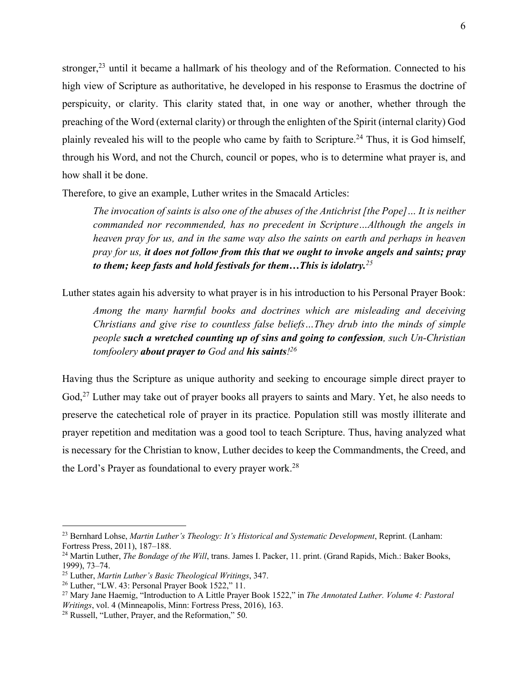stronger, $2<sup>3</sup>$  until it became a hallmark of his theology and of the Reformation. Connected to his high view of Scripture as authoritative, he developed in his response to Erasmus the doctrine of perspicuity, or clarity. This clarity stated that, in one way or another, whether through the preaching of the Word (external clarity) or through the enlighten of the Spirit (internal clarity) God plainly revealed his will to the people who came by faith to Scripture.<sup>24</sup> Thus, it is God himself, through his Word, and not the Church, council or popes, who is to determine what prayer is, and how shall it be done.

Therefore, to give an example, Luther writes in the Smacald Articles:

*The invocation of saints is also one of the abuses of the Antichrist [the Pope]… It is neither commanded nor recommended, has no precedent in Scripture…Although the angels in heaven pray for us, and in the same way also the saints on earth and perhaps in heaven pray for us, it does not follow from this that we ought to invoke angels and saints; pray to them; keep fasts and hold festivals for them…This is idolatry.<sup>25</sup>*

Luther states again his adversity to what prayer is in his introduction to his Personal Prayer Book:

*Among the many harmful books and doctrines which are misleading and deceiving Christians and give rise to countless false beliefs…They drub into the minds of simple people such a wretched counting up of sins and going to confession, such Un-Christian tomfoolery about prayer to God and his saints! 26*

Having thus the Scripture as unique authority and seeking to encourage simple direct prayer to God,<sup>27</sup> Luther may take out of prayer books all prayers to saints and Mary. Yet, he also needs to preserve the catechetical role of prayer in its practice. Population still was mostly illiterate and prayer repetition and meditation was a good tool to teach Scripture. Thus, having analyzed what is necessary for the Christian to know, Luther decides to keep the Commandments, the Creed, and the Lord's Prayer as foundational to every prayer work.<sup>28</sup>

<sup>&</sup>lt;sup>23</sup> Bernhard Lohse, *Martin Luther's Theology: It's Historical and Systematic Development*, Reprint. (Lanham: Fortress Press, 2011), 187–188.

<sup>24</sup> Martin Luther, *The Bondage of the Will*, trans. James I. Packer, 11. print. (Grand Rapids, Mich.: Baker Books, 1999), 73–74.

<sup>25</sup> Luther, *Martin Luther's Basic Theological Writings*, 347.

<sup>26</sup> Luther, "LW. 43: Personal Prayer Book 1522," 11.

<sup>27</sup> Mary Jane Haemig, "Introduction to A Little Prayer Book 1522," in *The Annotated Luther. Volume 4: Pastoral Writings*, vol. 4 (Minneapolis, Minn: Fortress Press, 2016), 163.

<sup>28</sup> Russell, "Luther, Prayer, and the Reformation," 50.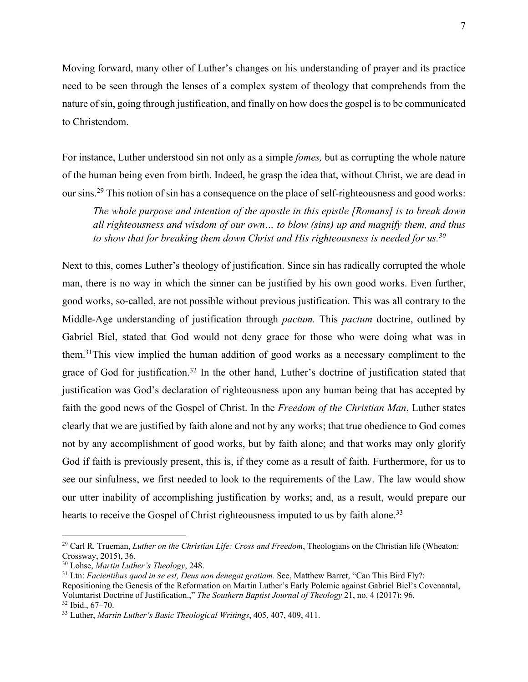Moving forward, many other of Luther's changes on his understanding of prayer and its practice need to be seen through the lenses of a complex system of theology that comprehends from the nature of sin, going through justification, and finally on how does the gospel is to be communicated to Christendom.

For instance, Luther understood sin not only as a simple *fomes,* but as corrupting the whole nature of the human being even from birth. Indeed, he grasp the idea that, without Christ, we are dead in our sins.29 This notion of sin has a consequence on the place of self-righteousness and good works:

*The whole purpose and intention of the apostle in this epistle [Romans] is to break down all righteousness and wisdom of our own… to blow (sins) up and magnify them, and thus to show that for breaking them down Christ and His righteousness is needed for us. 30*

Next to this, comes Luther's theology of justification. Since sin has radically corrupted the whole man, there is no way in which the sinner can be justified by his own good works. Even further, good works, so-called, are not possible without previous justification. This was all contrary to the Middle-Age understanding of justification through *pactum.* This *pactum* doctrine, outlined by Gabriel Biel, stated that God would not deny grace for those who were doing what was in them.31This view implied the human addition of good works as a necessary compliment to the grace of God for justification.<sup>32</sup> In the other hand, Luther's doctrine of justification stated that justification was God's declaration of righteousness upon any human being that has accepted by faith the good news of the Gospel of Christ. In the *Freedom of the Christian Man*, Luther states clearly that we are justified by faith alone and not by any works; that true obedience to God comes not by any accomplishment of good works, but by faith alone; and that works may only glorify God if faith is previously present, this is, if they come as a result of faith. Furthermore, for us to see our sinfulness, we first needed to look to the requirements of the Law. The law would show our utter inability of accomplishing justification by works; and, as a result, would prepare our hearts to receive the Gospel of Christ righteousness imputed to us by faith alone.<sup>33</sup>

<sup>29</sup> Carl R. Trueman, *Luther on the Christian Life: Cross and Freedom*, Theologians on the Christian life (Wheaton: Crossway, 2015), 36.

<sup>30</sup> Lohse, *Martin Luther's Theology*, 248.

<sup>&</sup>lt;sup>31</sup> Ltn: *Facientibus quod in se est, Deus non denegat gratiam.* See, Matthew Barret, "Can This Bird Fly?: Repositioning the Genesis of the Reformation on Martin Luther's Early Polemic against Gabriel Biel's Covenantal, Voluntarist Doctrine of Justification.," *The Southern Baptist Journal of Theology* 21, no. 4 (2017): 96. <sup>32</sup> Ibid., 67–70.

<sup>33</sup> Luther, *Martin Luther's Basic Theological Writings*, 405, 407, 409, 411.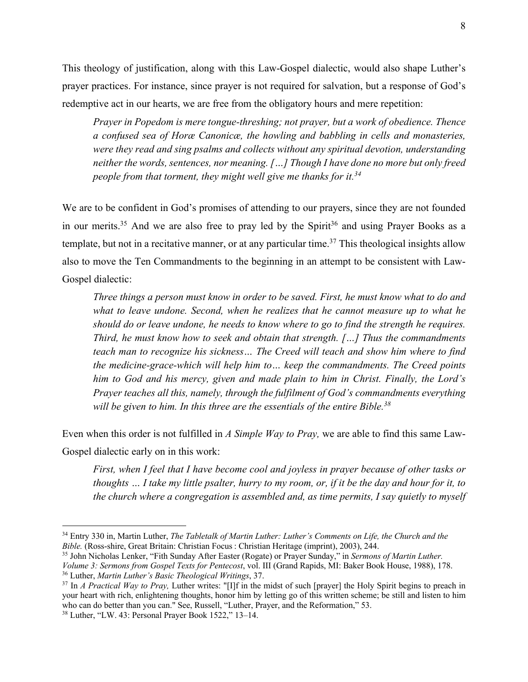This theology of justification, along with this Law-Gospel dialectic, would also shape Luther's prayer practices. For instance, since prayer is not required for salvation, but a response of God's redemptive act in our hearts, we are free from the obligatory hours and mere repetition:

*Prayer in Popedom is mere tongue-threshing; not prayer, but a work of obedience. Thence a confused sea of Horæ Canonicæ, the howling and babbling in cells and monasteries, were they read and sing psalms and collects without any spiritual devotion, understanding neither the words, sentences, nor meaning. […] Though I have done no more but only freed people from that torment, they might well give me thanks for it.34*

We are to be confident in God's promises of attending to our prayers, since they are not founded in our merits.<sup>35</sup> And we are also free to pray led by the Spirit<sup>36</sup> and using Prayer Books as a template, but not in a recitative manner, or at any particular time. <sup>37</sup> This theological insights allow also to move the Ten Commandments to the beginning in an attempt to be consistent with Law-Gospel dialectic:

*Three things a person must know in order to be saved. First, he must know what to do and what to leave undone. Second, when he realizes that he cannot measure up to what he should do or leave undone, he needs to know where to go to find the strength he requires. Third, he must know how to seek and obtain that strength. […] Thus the commandments teach man to recognize his sickness… The Creed will teach and show him where to find the medicine-grace-which will help him to… keep the commandments. The Creed points him to God and his mercy, given and made plain to him in Christ. Finally, the Lord's Prayer teaches all this, namely, through the fulfilment of God's commandments everything will be given to him. In this three are the essentials of the entire Bible.38*

Even when this order is not fulfilled in *A Simple Way to Pray,* we are able to find this same Law-Gospel dialectic early on in this work:

*First, when I feel that I have become cool and joyless in prayer because of other tasks or thoughts … I take my little psalter, hurry to my room, or, if it be the day and hour for it, to the church where a congregation is assembled and, as time permits, I say quietly to myself* 

<sup>35</sup> John Nicholas Lenker, "Fith Sunday After Easter (Rogate) or Prayer Sunday," in *Sermons of Martin Luther. Volume 3: Sermons from Gospel Texts for Pentecost*, vol. III (Grand Rapids, MI: Baker Book House, 1988), 178.

<sup>34</sup> Entry 330 in, Martin Luther, *The Tabletalk of Martin Luther: Luther's Comments on Life, the Church and the Bible.* (Ross-shire, Great Britain: Christian Focus: Christian Heritage (imprint), 2003), 244.

<sup>36</sup> Luther, *Martin Luther's Basic Theological Writings*, 37.

<sup>&</sup>lt;sup>37</sup> In *A Practical Way to Pray*, Luther writes: "[I]f in the midst of such [prayer] the Holy Spirit begins to preach in your heart with rich, enlightening thoughts, honor him by letting go of this written scheme; be still and listen to him who can do better than you can." See, Russell, "Luther, Prayer, and the Reformation," 53.

<sup>38</sup> Luther, "LW. 43: Personal Prayer Book 1522," 13–14.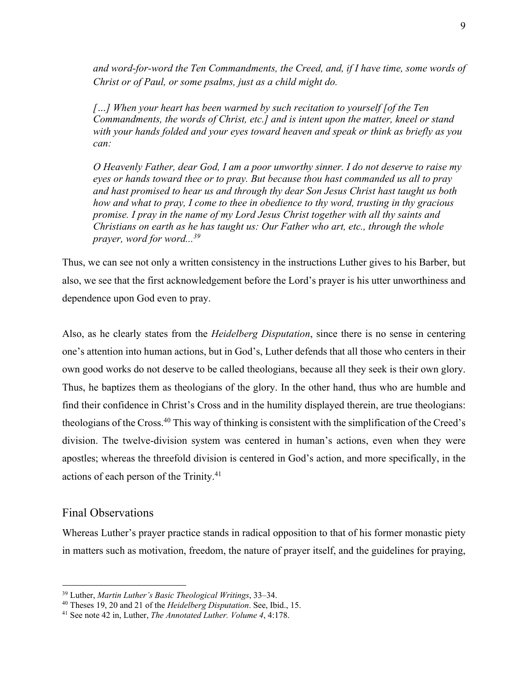*and word-for-word the Ten Commandments, the Creed, and, if I have time, some words of Christ or of Paul, or some psalms, just as a child might do.* 

*[…] When your heart has been warmed by such recitation to yourself [of the Ten Commandments, the words of Christ, etc.] and is intent upon the matter, kneel or stand with your hands folded and your eyes toward heaven and speak or think as briefly as you can:* 

*O Heavenly Father, dear God, I am a poor unworthy sinner. I do not deserve to raise my eyes or hands toward thee or to pray. But because thou hast commanded us all to pray and hast promised to hear us and through thy dear Son Jesus Christ hast taught us both how and what to pray, I come to thee in obedience to thy word, trusting in thy gracious promise. I pray in the name of my Lord Jesus Christ together with all thy saints and Christians on earth as he has taught us: Our Father who art, etc., through the whole prayer, word for word... 39*

Thus, we can see not only a written consistency in the instructions Luther gives to his Barber, but also, we see that the first acknowledgement before the Lord's prayer is his utter unworthiness and dependence upon God even to pray.

Also, as he clearly states from the *Heidelberg Disputation*, since there is no sense in centering one's attention into human actions, but in God's, Luther defends that all those who centers in their own good works do not deserve to be called theologians, because all they seek is their own glory. Thus, he baptizes them as theologians of the glory. In the other hand, thus who are humble and find their confidence in Christ's Cross and in the humility displayed therein, are true theologians: theologians of the Cross.40 This way of thinking is consistent with the simplification of the Creed's division. The twelve-division system was centered in human's actions, even when they were apostles; whereas the threefold division is centered in God's action, and more specifically, in the actions of each person of the Trinity.41

# Final Observations

Whereas Luther's prayer practice stands in radical opposition to that of his former monastic piety in matters such as motivation, freedom, the nature of prayer itself, and the guidelines for praying,

<sup>39</sup> Luther, *Martin Luther's Basic Theological Writings*, 33–34.

<sup>40</sup> Theses 19, 20 and 21 of the *Heidelberg Disputation*. See, Ibid., 15.

<sup>41</sup> See note 42 in, Luther, *The Annotated Luther. Volume 4*, 4:178.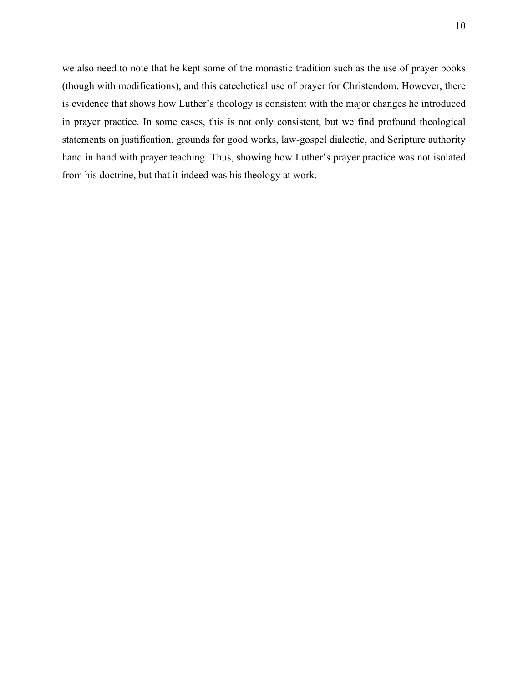we also need to note that he kept some of the monastic tradition such as the use of prayer books (though with modifications), and this catechetical use of prayer for Christendom. However, there is evidence that shows how Luther's theology is consistent with the major changes he introduced in prayer practice. In some cases, this is not only consistent, but we find profound theological statements on justification, grounds for good works, law-gospel dialectic, and Scripture authority hand in hand with prayer teaching. Thus, showing how Luther's prayer practice was not isolated from his doctrine, but that it indeed was his theology at work.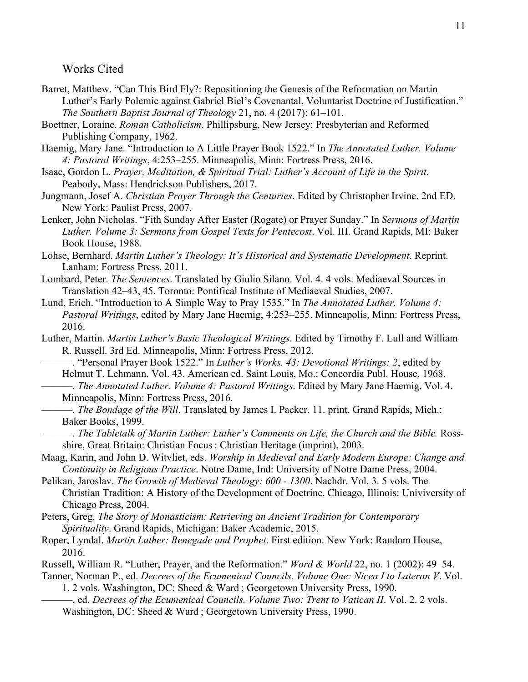Works Cited

- Barret, Matthew. "Can This Bird Fly?: Repositioning the Genesis of the Reformation on Martin Luther's Early Polemic against Gabriel Biel's Covenantal, Voluntarist Doctrine of Justification." *The Southern Baptist Journal of Theology* 21, no. 4 (2017): 61–101.
- Boettner, Loraine. *Roman Catholicism*. Phillipsburg, New Jersey: Presbyterian and Reformed Publishing Company, 1962.
- Haemig, Mary Jane. "Introduction to A Little Prayer Book 1522." In *The Annotated Luther. Volume 4: Pastoral Writings*, 4:253–255. Minneapolis, Minn: Fortress Press, 2016.
- Isaac, Gordon L. *Prayer, Meditation, & Spiritual Trial: Luther's Account of Life in the Spirit*. Peabody, Mass: Hendrickson Publishers, 2017.
- Jungmann, Josef A. *Christian Prayer Through the Centuries*. Edited by Christopher Irvine. 2nd ED. New York: Paulist Press, 2007.
- Lenker, John Nicholas. "Fith Sunday After Easter (Rogate) or Prayer Sunday." In *Sermons of Martin Luther. Volume 3: Sermons from Gospel Texts for Pentecost*. Vol. III. Grand Rapids, MI: Baker Book House, 1988.
- Lohse, Bernhard. *Martin Luther's Theology: It's Historical and Systematic Development*. Reprint. Lanham: Fortress Press, 2011.
- Lombard, Peter. *The Sentences*. Translated by Giulio Silano. Vol. 4. 4 vols. Mediaeval Sources in Translation 42–43, 45. Toronto: Pontifical Institute of Mediaeval Studies, 2007.
- Lund, Erich. "Introduction to A Simple Way to Pray 1535." In *The Annotated Luther. Volume 4: Pastoral Writings*, edited by Mary Jane Haemig, 4:253–255. Minneapolis, Minn: Fortress Press, 2016.
- Luther, Martin. *Martin Luther's Basic Theological Writings*. Edited by Timothy F. Lull and William R. Russell. 3rd Ed. Minneapolis, Minn: Fortress Press, 2012.
	- ———. "Personal Prayer Book 1522." In *Luther's Works. 43: Devotional Writings: 2*, edited by Helmut T. Lehmann. Vol. 43. American ed. Saint Louis, Mo.: Concordia Publ. House, 1968.
- ———. *The Annotated Luther. Volume 4: Pastoral Writings*. Edited by Mary Jane Haemig. Vol. 4. Minneapolis, Minn: Fortress Press, 2016.
	- ———. *The Bondage of the Will*. Translated by James I. Packer. 11. print. Grand Rapids, Mich.: Baker Books, 1999.
- ———. *The Tabletalk of Martin Luther: Luther's Comments on Life, the Church and the Bible.* Rossshire, Great Britain: Christian Focus : Christian Heritage (imprint), 2003.
- Maag, Karin, and John D. Witvliet, eds. *Worship in Medieval and Early Modern Europe: Change and Continuity in Religious Practice*. Notre Dame, Ind: University of Notre Dame Press, 2004.
- Pelikan, Jaroslav. *The Growth of Medieval Theology: 600 - 1300*. Nachdr. Vol. 3. 5 vols. The Christian Tradition: A History of the Development of Doctrine. Chicago, Illinois: Univiversity of Chicago Press, 2004.
- Peters, Greg. *The Story of Monasticism: Retrieving an Ancient Tradition for Contemporary Spirituality*. Grand Rapids, Michigan: Baker Academic, 2015.
- Roper, Lyndal. *Martin Luther: Renegade and Prophet*. First edition. New York: Random House, 2016.
- Russell, William R. "Luther, Prayer, and the Reformation." *Word & World* 22, no. 1 (2002): 49–54.
- Tanner, Norman P., ed. *Decrees of the Ecumenical Councils. Volume One: Nicea I to Lateran V*. Vol. 1. 2 vols. Washington, DC: Sheed & Ward ; Georgetown University Press, 1990.
	- ———, ed. *Decrees of the Ecumenical Councils. Volume Two: Trent to Vatican II*. Vol. 2. 2 vols. Washington, DC: Sheed & Ward ; Georgetown University Press, 1990.